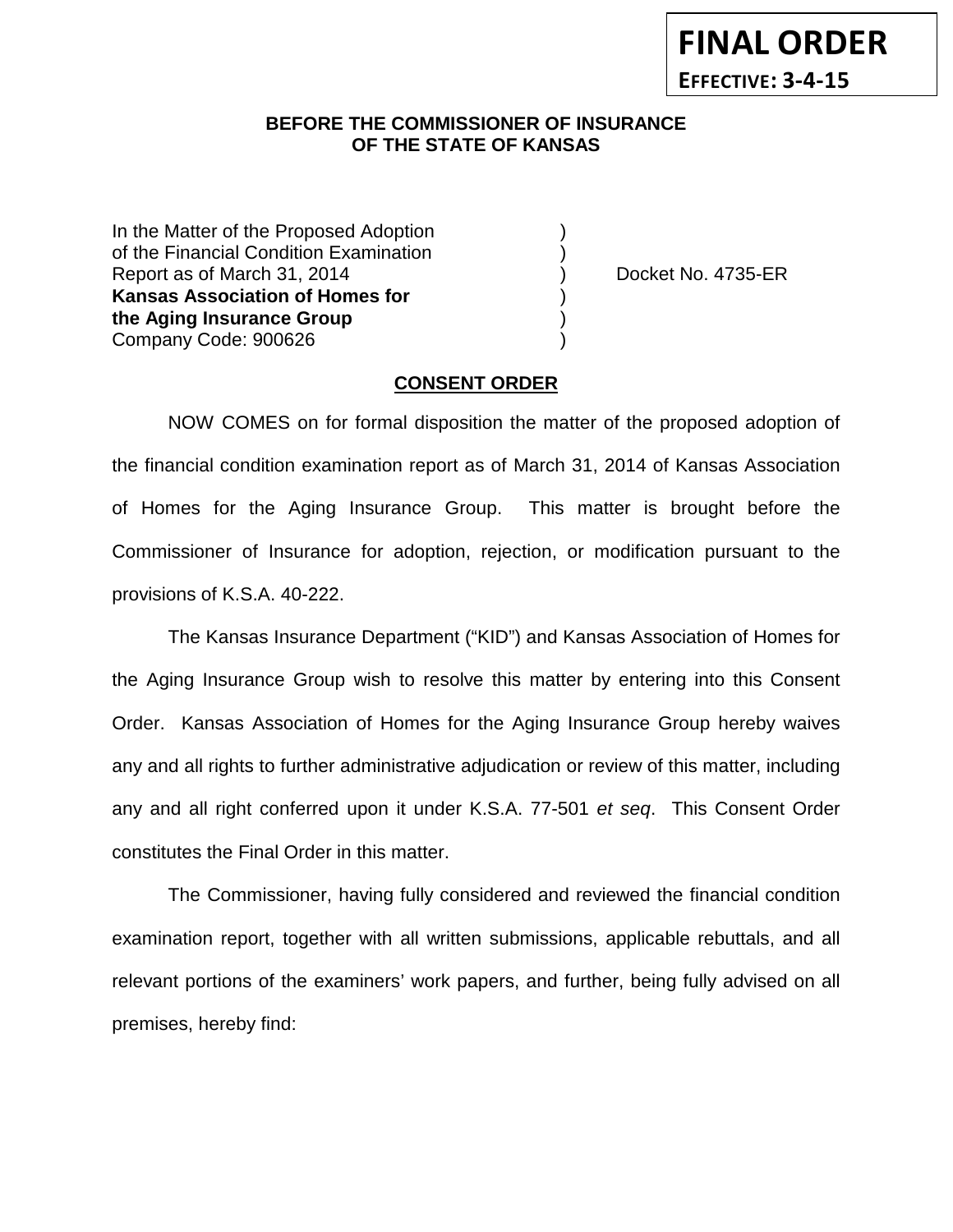## **BEFORE THE COMMISSIONER OF INSURANCE OF THE STATE OF KANSAS**

In the Matter of the Proposed Adoption of the Financial Condition Examination ) Report as of March 31, 2014 ) Docket No. 4735-ER **Kansas Association of Homes for** ) **the Aging Insurance Group** ) Company Code: 900626 )

## **CONSENT ORDER**

NOW COMES on for formal disposition the matter of the proposed adoption of the financial condition examination report as of March 31, 2014 of Kansas Association of Homes for the Aging Insurance Group. This matter is brought before the Commissioner of Insurance for adoption, rejection, or modification pursuant to the provisions of K.S.A. 40-222.

The Kansas Insurance Department ("KID") and Kansas Association of Homes for the Aging Insurance Group wish to resolve this matter by entering into this Consent Order. Kansas Association of Homes for the Aging Insurance Group hereby waives any and all rights to further administrative adjudication or review of this matter, including any and all right conferred upon it under K.S.A. 77-501 *et seq*. This Consent Order constitutes the Final Order in this matter.

The Commissioner, having fully considered and reviewed the financial condition examination report, together with all written submissions, applicable rebuttals, and all relevant portions of the examiners' work papers, and further, being fully advised on all premises, hereby find: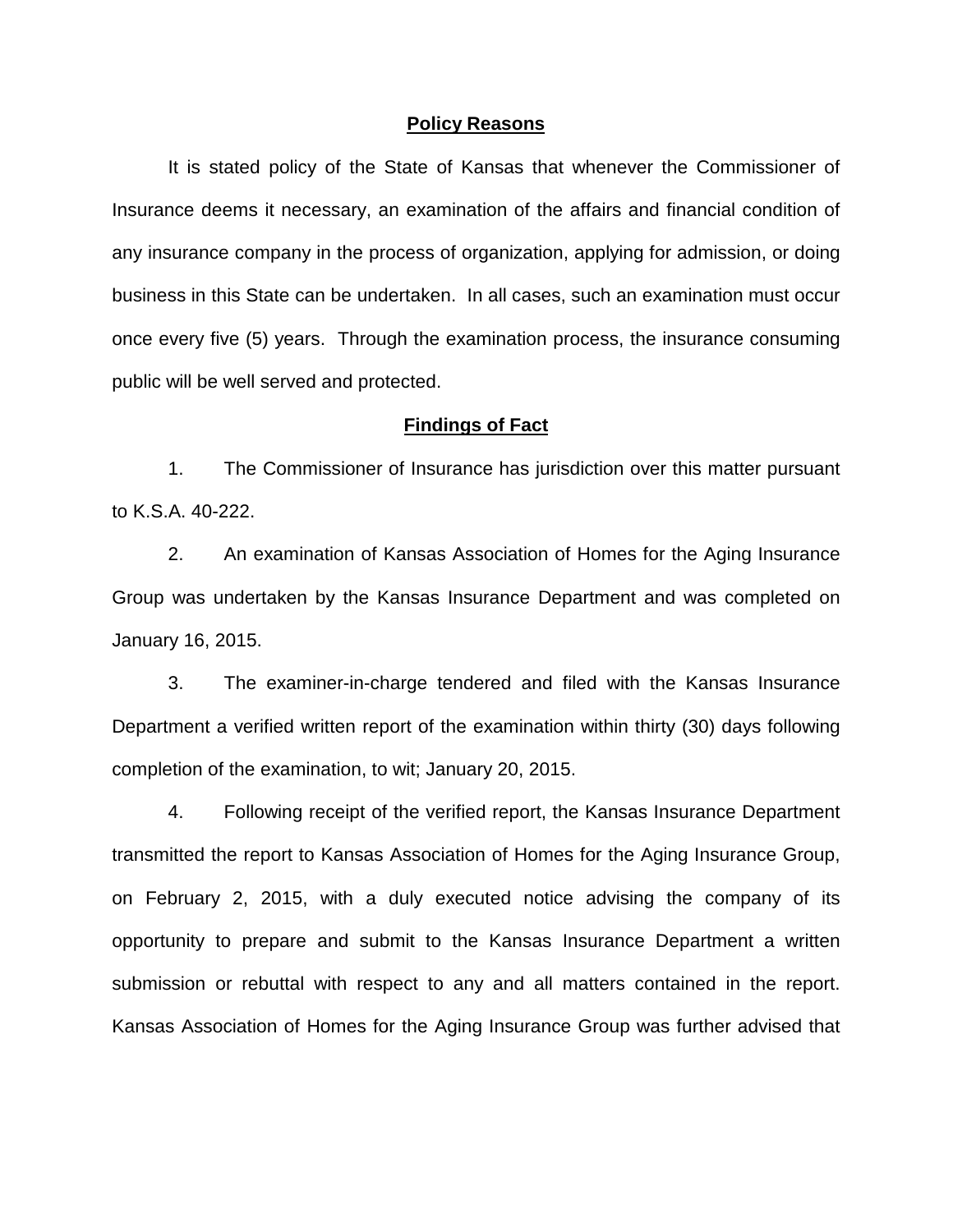#### **Policy Reasons**

It is stated policy of the State of Kansas that whenever the Commissioner of Insurance deems it necessary, an examination of the affairs and financial condition of any insurance company in the process of organization, applying for admission, or doing business in this State can be undertaken. In all cases, such an examination must occur once every five (5) years. Through the examination process, the insurance consuming public will be well served and protected.

#### **Findings of Fact**

1. The Commissioner of Insurance has jurisdiction over this matter pursuant to K.S.A. 40-222.

2. An examination of Kansas Association of Homes for the Aging Insurance Group was undertaken by the Kansas Insurance Department and was completed on January 16, 2015.

3. The examiner-in-charge tendered and filed with the Kansas Insurance Department a verified written report of the examination within thirty (30) days following completion of the examination, to wit; January 20, 2015.

4. Following receipt of the verified report, the Kansas Insurance Department transmitted the report to Kansas Association of Homes for the Aging Insurance Group, on February 2, 2015, with a duly executed notice advising the company of its opportunity to prepare and submit to the Kansas Insurance Department a written submission or rebuttal with respect to any and all matters contained in the report. Kansas Association of Homes for the Aging Insurance Group was further advised that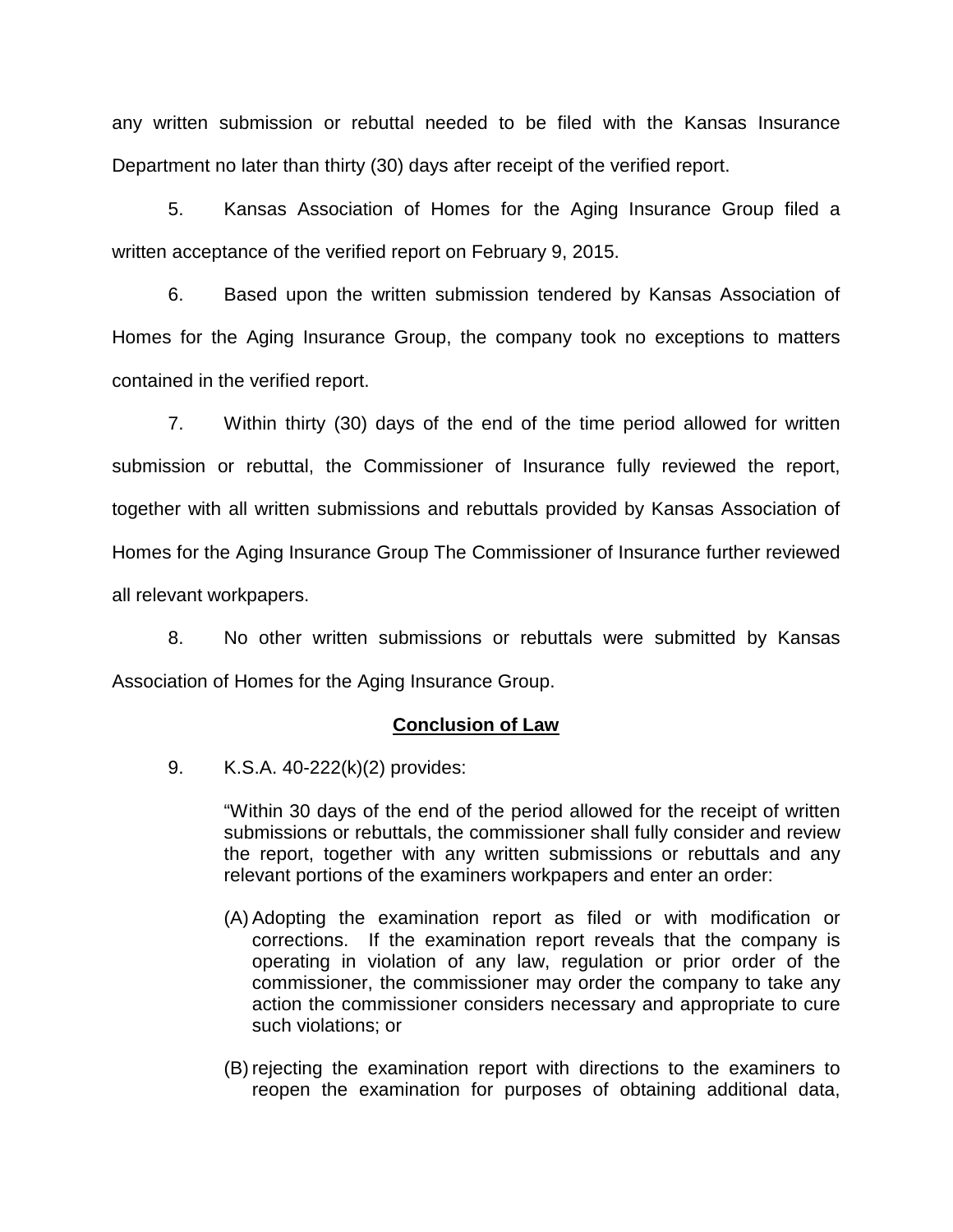any written submission or rebuttal needed to be filed with the Kansas Insurance Department no later than thirty (30) days after receipt of the verified report.

5. Kansas Association of Homes for the Aging Insurance Group filed a written acceptance of the verified report on February 9, 2015.

6. Based upon the written submission tendered by Kansas Association of Homes for the Aging Insurance Group, the company took no exceptions to matters contained in the verified report.

7. Within thirty (30) days of the end of the time period allowed for written submission or rebuttal, the Commissioner of Insurance fully reviewed the report, together with all written submissions and rebuttals provided by Kansas Association of Homes for the Aging Insurance Group The Commissioner of Insurance further reviewed all relevant workpapers.

8. No other written submissions or rebuttals were submitted by Kansas Association of Homes for the Aging Insurance Group.

## **Conclusion of Law**

9. K.S.A. 40-222(k)(2) provides:

"Within 30 days of the end of the period allowed for the receipt of written submissions or rebuttals, the commissioner shall fully consider and review the report, together with any written submissions or rebuttals and any relevant portions of the examiners workpapers and enter an order:

- (A) Adopting the examination report as filed or with modification or corrections. If the examination report reveals that the company is operating in violation of any law, regulation or prior order of the commissioner, the commissioner may order the company to take any action the commissioner considers necessary and appropriate to cure such violations; or
- (B) rejecting the examination report with directions to the examiners to reopen the examination for purposes of obtaining additional data,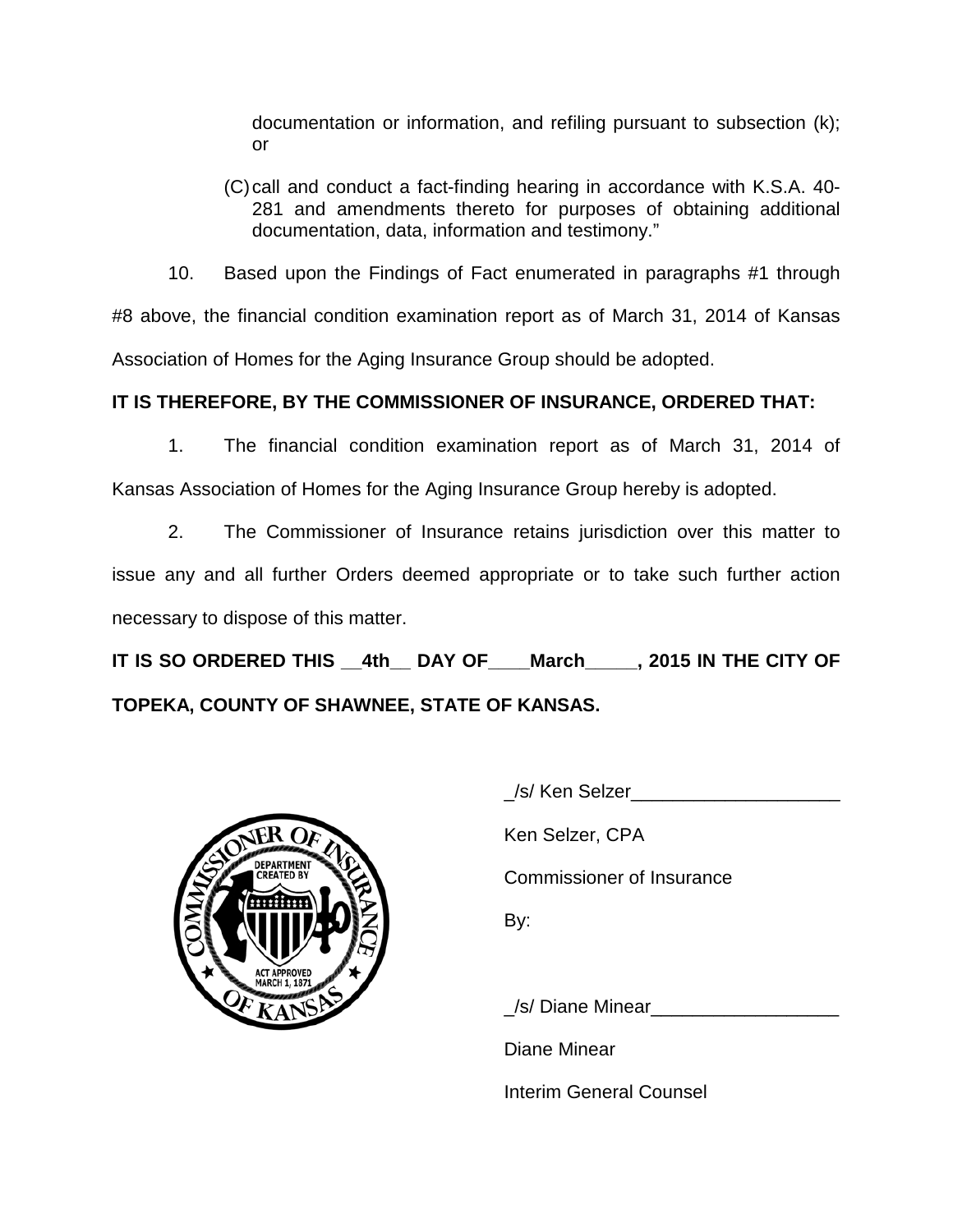documentation or information, and refiling pursuant to subsection (k); or

(C)call and conduct a fact-finding hearing in accordance with K.S.A. 40- 281 and amendments thereto for purposes of obtaining additional documentation, data, information and testimony."

10. Based upon the Findings of Fact enumerated in paragraphs #1 through #8 above, the financial condition examination report as of March 31, 2014 of Kansas Association of Homes for the Aging Insurance Group should be adopted.

# **IT IS THEREFORE, BY THE COMMISSIONER OF INSURANCE, ORDERED THAT:**

1. The financial condition examination report as of March 31, 2014 of Kansas Association of Homes for the Aging Insurance Group hereby is adopted.

2. The Commissioner of Insurance retains jurisdiction over this matter to issue any and all further Orders deemed appropriate or to take such further action necessary to dispose of this matter.

**IT IS SO ORDERED THIS \_\_4th\_\_ DAY OF\_\_\_\_March\_\_\_\_\_, 2015 IN THE CITY OF TOPEKA, COUNTY OF SHAWNEE, STATE OF KANSAS.**



\_/s/ Ken Selzer\_\_\_\_\_\_\_\_\_\_\_\_\_\_\_\_\_\_\_\_

Ken Selzer, CPA

Commissioner of Insurance

By:

\_/s/ Diane Minear\_\_\_\_\_\_\_\_\_\_\_\_\_\_\_\_\_\_

Diane Minear

Interim General Counsel